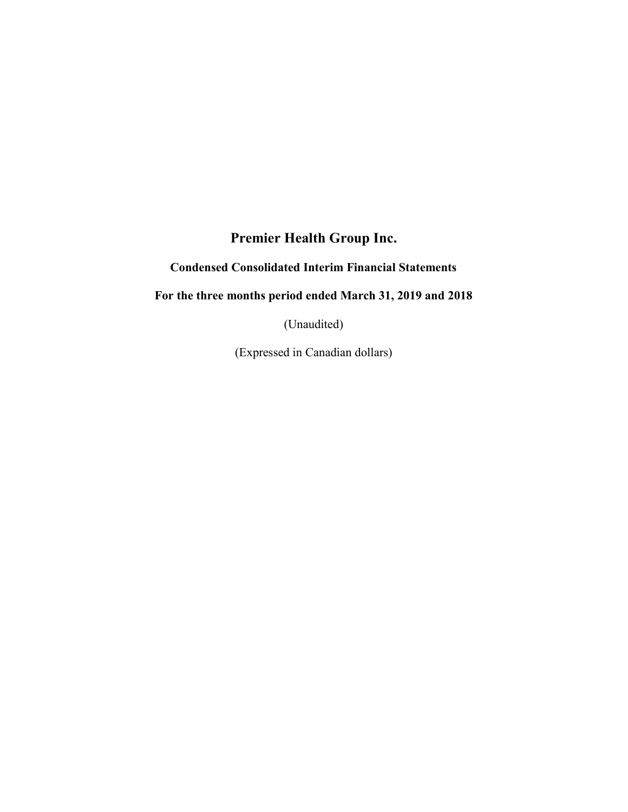# Premier Health Group Inc.

## Condensed Consolidated Interim Financial Statements

# For the three months period ended March 31, 2019 and 2018

(Unaudited)

(Expressed in Canadian dollars)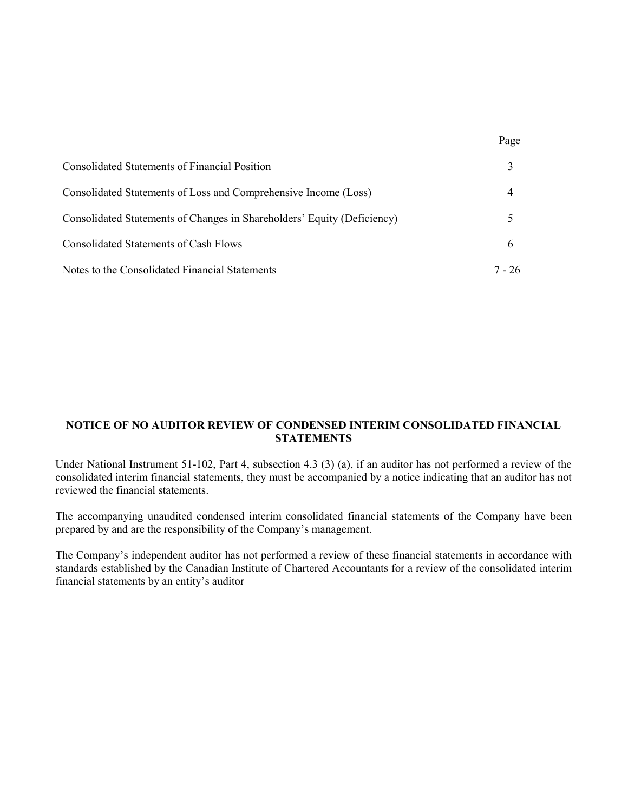| <b>Consolidated Statements of Financial Position</b>                    |        |
|-------------------------------------------------------------------------|--------|
| Consolidated Statements of Loss and Comprehensive Income (Loss)         |        |
| Consolidated Statements of Changes in Shareholders' Equity (Deficiency) |        |
| Consolidated Statements of Cash Flows                                   | h      |
| Notes to the Consolidated Financial Statements                          | 7 - 26 |

Page

## NOTICE OF NO AUDITOR REVIEW OF CONDENSED INTERIM CONSOLIDATED FINANCIAL STATEMENTS

Under National Instrument 51-102, Part 4, subsection 4.3 (3) (a), if an auditor has not performed a review of the consolidated interim financial statements, they must be accompanied by a notice indicating that an auditor has not reviewed the financial statements.

The accompanying unaudited condensed interim consolidated financial statements of the Company have been prepared by and are the responsibility of the Company's management.

The Company's independent auditor has not performed a review of these financial statements in accordance with standards established by the Canadian Institute of Chartered Accountants for a review of the consolidated interim financial statements by an entity's auditor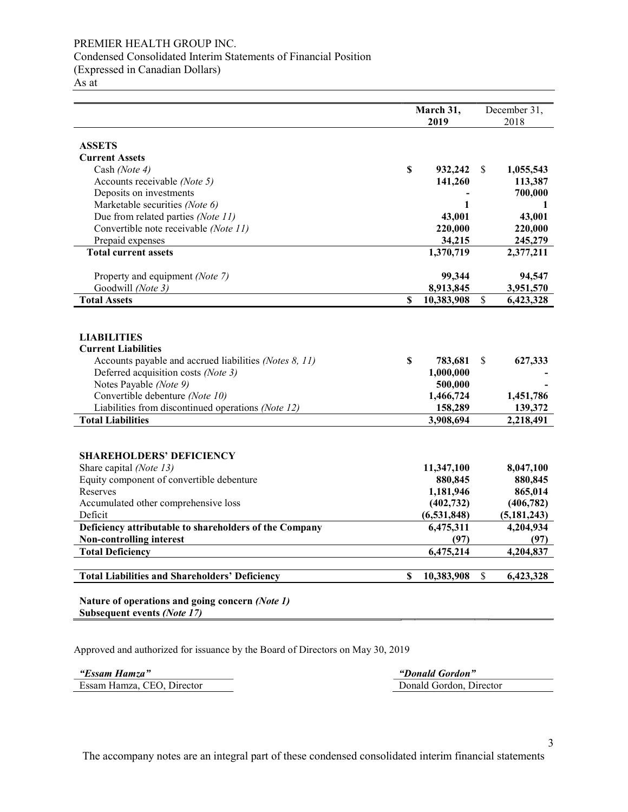# PREMIER HEALTH GROUP INC.

Condensed Consolidated Interim Statements of Financial Position

(Expressed in Canadian Dollars)

As at

|                                                        |                           | March 31,   | December 31, |              |
|--------------------------------------------------------|---------------------------|-------------|--------------|--------------|
|                                                        |                           | 2019        |              | 2018         |
|                                                        |                           |             |              |              |
| <b>ASSETS</b>                                          |                           |             |              |              |
| <b>Current Assets</b>                                  |                           |             |              |              |
| Cash (Note 4)                                          | $\mathbf S$               | 932,242     | \$           | 1,055,543    |
| Accounts receivable (Note 5)                           |                           | 141,260     |              | 113,387      |
| Deposits on investments                                |                           |             |              | 700,000      |
| Marketable securities (Note 6)                         |                           | 1           |              | $\mathbf{1}$ |
| Due from related parties (Note 11)                     |                           | 43,001      |              | 43,001       |
| Convertible note receivable (Note 11)                  |                           | 220,000     |              | 220,000      |
| Prepaid expenses                                       |                           | 34,215      |              | 245,279      |
| <b>Total current assets</b>                            |                           | 1,370,719   |              | 2,377,211    |
|                                                        |                           |             |              |              |
| Property and equipment (Note 7)                        |                           | 99,344      |              | 94,547       |
| Goodwill (Note 3)                                      |                           | 8,913,845   |              | 3,951,570    |
| <b>Total Assets</b>                                    | $\mathbf S$               | 10,383,908  | \$           | 6,423,328    |
|                                                        |                           |             |              |              |
|                                                        |                           |             |              |              |
| <b>LIABILITIES</b>                                     |                           |             |              |              |
| <b>Current Liabilities</b>                             |                           |             |              |              |
| Accounts payable and accrued liabilities (Notes 8, 11) | $\boldsymbol{\mathsf{S}}$ | 783,681     | \$           | 627,333      |
| Deferred acquisition costs (Note 3)                    |                           | 1,000,000   |              |              |
| Notes Payable (Note 9)                                 |                           | 500,000     |              |              |
| Convertible debenture (Note 10)                        |                           | 1,466,724   |              | 1,451,786    |
| Liabilities from discontinued operations (Note 12)     |                           | 158,289     |              | 139,372      |
| <b>Total Liabilities</b>                               |                           | 3,908,694   |              | 2,218,491    |
|                                                        |                           |             |              |              |
|                                                        |                           |             |              |              |
| <b>SHAREHOLDERS' DEFICIENCY</b>                        |                           |             |              |              |
| Share capital (Note 13)                                |                           | 11,347,100  |              | 8,047,100    |
| Equity component of convertible debenture              |                           | 880,845     |              | 880,845      |
| Reserves                                               |                           | 1,181,946   |              | 865,014      |
| Accumulated other comprehensive loss                   |                           | (402, 732)  |              | (406, 782)   |
| Deficit                                                |                           | (6,531,848) |              | (5,181,243)  |
| Deficiency attributable to shareholders of the Company |                           | 6,475,311   |              | 4,204,934    |
| <b>Non-controlling interest</b>                        |                           | (97)        |              | (97)         |
| <b>Total Deficiency</b>                                |                           | 6,475,214   |              | 4,204,837    |
|                                                        |                           |             |              |              |
| <b>Total Liabilities and Shareholders' Deficiency</b>  | $\mathbf S$               | 10,383,908  | $\mathbb{S}$ | 6,423,328    |
|                                                        |                           |             |              |              |
| Nature of operations and going concern (Note 1)        |                           |             |              |              |
| Subsequent events (Note 17)                            |                           |             |              |              |

Approved and authorized for issuance by the Board of Directors on May 30, 2019

Essam Hamza, CEO, Director Donald Gordon, Director

"Essam Hamza" "Donald Gordon"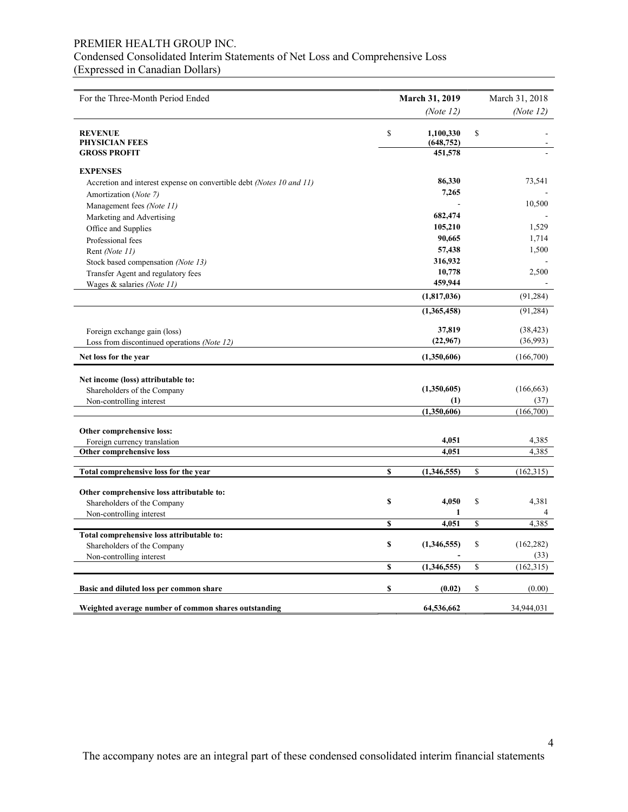## PREMIER HEALTH GROUP INC. Condensed Consolidated Interim Statements of Net Loss and Comprehensive Loss (Expressed in Canadian Dollars)

| For the Three-Month Period Ended                                     | <b>March 31, 2019</b> |               | March 31, 2018     |
|----------------------------------------------------------------------|-----------------------|---------------|--------------------|
|                                                                      | (Note $12$ )          |               | (Note $12$ )       |
| <b>REVENUE</b>                                                       | \$<br>1,100,330       | <sup>\$</sup> |                    |
| <b>PHYSICIAN FEES</b>                                                | (648, 752)            |               |                    |
| <b>GROSS PROFIT</b>                                                  | 451,578               |               |                    |
| <b>EXPENSES</b>                                                      |                       |               |                    |
| Accretion and interest expense on convertible debt (Notes 10 and 11) | 86,330                |               | 73,541             |
| Amortization (Note 7)                                                | 7,265                 |               |                    |
| Management fees (Note 11)                                            |                       |               | 10,500             |
| Marketing and Advertising                                            | 682,474               |               |                    |
| Office and Supplies                                                  | 105,210               |               | 1,529              |
| Professional fees                                                    | 90,665                |               | 1,714              |
| Rent (Note 11)                                                       | 57,438                |               | 1,500              |
| Stock based compensation (Note 13)                                   | 316,932               |               |                    |
| Transfer Agent and regulatory fees                                   | 10,778                |               | 2,500              |
| Wages & salaries (Note 11)                                           | 459,944               |               |                    |
|                                                                      | (1,817,036)           |               | (91, 284)          |
|                                                                      | (1,365,458)           |               | (91, 284)          |
| Foreign exchange gain (loss)                                         | 37,819                |               | (38, 423)          |
| Loss from discontinued operations (Note 12)                          | (22,967)              |               | (36,993)           |
| Net loss for the year                                                | (1,350,606)           |               | (166,700)          |
| Net income (loss) attributable to:                                   |                       |               |                    |
| Shareholders of the Company                                          | (1,350,605)           |               | (166, 663)         |
| Non-controlling interest                                             | (1)                   |               | (37)               |
|                                                                      | (1,350,606)           |               | (166,700)          |
| Other comprehensive loss:                                            |                       |               |                    |
| Foreign currency translation                                         | 4,051                 |               | 4,385              |
| Other comprehensive loss                                             | 4,051                 |               | 4,385              |
| Total comprehensive loss for the year                                | \$<br>(1,346,555)     | <sup>\$</sup> | (162, 315)         |
|                                                                      |                       |               |                    |
| Other comprehensive loss attributable to:                            |                       |               |                    |
| Shareholders of the Company                                          | \$<br>4,050           | \$            | 4,381              |
| Non-controlling interest                                             | 1                     |               |                    |
|                                                                      | \$<br>4,051           | \$            | 4,385              |
| Total comprehensive loss attributable to:                            | \$                    | \$            |                    |
| Shareholders of the Company                                          | (1,346,555)           |               | (162, 282)         |
| Non-controlling interest                                             | \$<br>(1,346,555)     | \$            | (33)<br>(162, 315) |
|                                                                      |                       |               |                    |
| Basic and diluted loss per common share                              | \$<br>(0.02)          | \$            | (0.00)             |
| Weighted average number of common shares outstanding                 | 64,536,662            |               | 34,944,031         |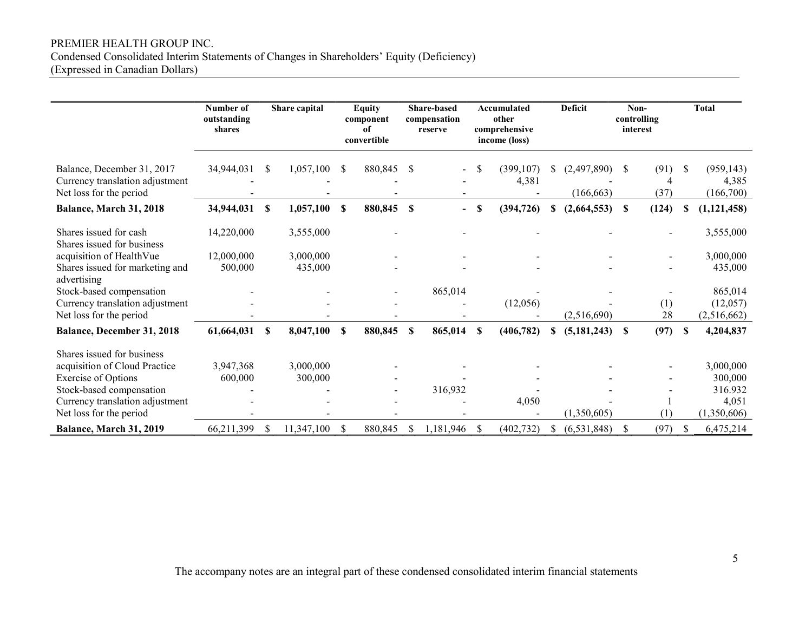# PREMIER HEALTH GROUP INC. Condensed Consolidated Interim Statements of Changes in Shareholders' Equity (Deficiency)

(Expressed in Canadian Dollars)

|                                                                                                                                                                                     | Number of<br>outstanding<br>shares |    | Share capital        |          | <b>Equity</b><br>component<br>of<br>convertible |              | <b>Share-based</b><br>compensation<br>reserve |               | Accumulated<br>other<br>comprehensive<br>income (loss) |    | <b>Deficit</b><br>Non-<br>interest |               |              |    | controlling                                             |  | <b>Total</b> |
|-------------------------------------------------------------------------------------------------------------------------------------------------------------------------------------|------------------------------------|----|----------------------|----------|-------------------------------------------------|--------------|-----------------------------------------------|---------------|--------------------------------------------------------|----|------------------------------------|---------------|--------------|----|---------------------------------------------------------|--|--------------|
| Balance, December 31, 2017<br>Currency translation adjustment<br>Net loss for the period                                                                                            | 34,944,031                         | \$ | 1,057,100            | \$       | 880,845                                         | \$           |                                               | \$            | (399, 107)<br>4,381                                    | \$ | (2,497,890)<br>(166, 663)          | <sup>\$</sup> | (91)<br>(37) | -S | (959, 143)<br>4,385<br>(166,700)                        |  |              |
| Balance, March 31, 2018                                                                                                                                                             | 34,944,031                         | S  | 1,057,100            | <b>S</b> | 880,845                                         | $\mathbf{s}$ | $\sim$                                        | S             | (394, 726)                                             | S  | (2,664,553)                        | S             | (124)        | -S | (1, 121, 458)                                           |  |              |
| Shares issued for cash<br>Shares issued for business                                                                                                                                | 14,220,000                         |    | 3,555,000            |          |                                                 |              |                                               |               |                                                        |    |                                    |               |              |    | 3,555,000                                               |  |              |
| acquisition of HealthVue<br>Shares issued for marketing and                                                                                                                         | 12,000,000<br>500,000              |    | 3,000,000<br>435,000 |          |                                                 |              |                                               |               |                                                        |    |                                    |               |              |    | 3,000,000<br>435,000                                    |  |              |
| advertising<br>Stock-based compensation<br>Currency translation adjustment<br>Net loss for the period                                                                               |                                    |    |                      |          |                                                 |              | 865,014                                       |               | (12,056)                                               |    | (2,516,690)                        |               | (1)<br>28    |    | 865,014<br>(12,057)<br>(2,516,662)                      |  |              |
| Balance, December 31, 2018                                                                                                                                                          | 61,664,031                         | \$ | 8,047,100            | \$       | 880,845                                         | \$           | 865,014                                       | - \$          | (406, 782)                                             | \$ | (5, 181, 243)                      | \$            | (97)         | -S | 4,204,837                                               |  |              |
| Shares issued for business<br>acquisition of Cloud Practice<br><b>Exercise of Options</b><br>Stock-based compensation<br>Currency translation adjustment<br>Net loss for the period | 3,947,368<br>600,000               |    | 3,000,000<br>300,000 |          |                                                 |              | 316,932                                       |               | 4,050                                                  |    | (1,350,605)                        |               | (1)          |    | 3,000,000<br>300,000<br>316.932<br>4,051<br>(1,350,606) |  |              |
| Balance, March 31, 2019                                                                                                                                                             | 66,211,399                         | \$ | 11,347,100           | \$       | 880,845                                         | \$           | 1,181,946                                     | $\mathcal{S}$ | (402, 732)                                             | S  | (6,531,848)                        | \$            | (97)         | -S | 6,475,214                                               |  |              |

The accompany notes are an integral part of these condensed consolidated interim financial statements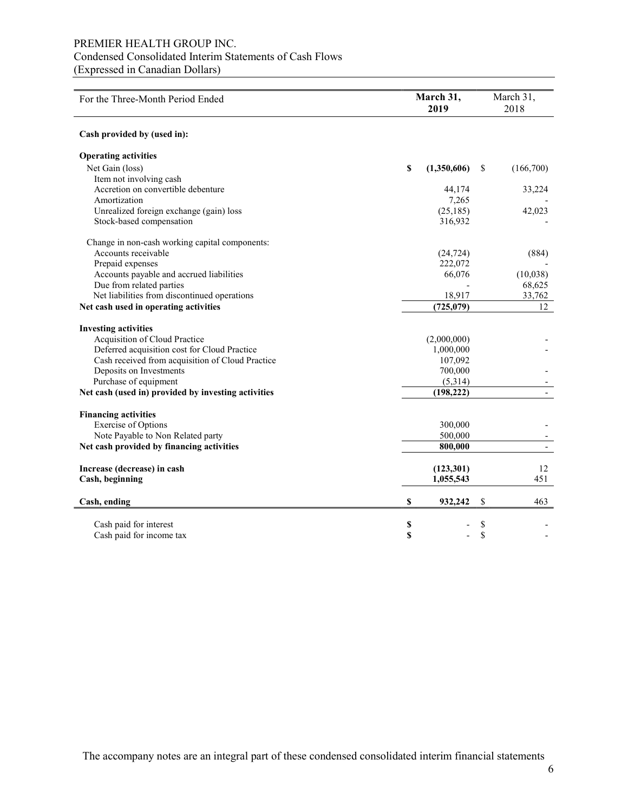## PREMIER HEALTH GROUP INC. Condensed Consolidated Interim Statements of Cash Flows (Expressed in Canadian Dollars)

| For the Three-Month Period Ended                    | March 31,<br>2019 |             |    | March 31,<br>2018 |
|-----------------------------------------------------|-------------------|-------------|----|-------------------|
| Cash provided by (used in):                         |                   |             |    |                   |
| <b>Operating activities</b>                         |                   |             |    |                   |
| Net Gain (loss)                                     | \$                | (1,350,606) | -S | (166,700)         |
| Item not involving cash                             |                   |             |    |                   |
| Accretion on convertible debenture                  |                   | 44,174      |    | 33,224            |
| Amortization                                        |                   | 7,265       |    |                   |
| Unrealized foreign exchange (gain) loss             |                   | (25, 185)   |    | 42,023            |
| Stock-based compensation                            |                   | 316,932     |    |                   |
| Change in non-cash working capital components:      |                   |             |    |                   |
| Accounts receivable                                 |                   | (24, 724)   |    | (884)             |
| Prepaid expenses                                    |                   | 222,072     |    |                   |
| Accounts payable and accrued liabilities            |                   | 66,076      |    | (10,038)          |
| Due from related parties                            |                   |             |    | 68,625            |
| Net liabilities from discontinued operations        |                   | 18,917      |    | 33,762            |
| Net cash used in operating activities               |                   | (725, 079)  |    | 12                |
| <b>Investing activities</b>                         |                   |             |    |                   |
| Acquisition of Cloud Practice                       |                   | (2,000,000) |    |                   |
| Deferred acquisition cost for Cloud Practice        |                   | 1,000,000   |    |                   |
| Cash received from acquisition of Cloud Practice    |                   | 107,092     |    |                   |
| Deposits on Investments                             |                   | 700,000     |    |                   |
| Purchase of equipment                               |                   | (5,314)     |    |                   |
| Net cash (used in) provided by investing activities |                   | (198, 222)  |    |                   |
| <b>Financing activities</b>                         |                   |             |    |                   |
| <b>Exercise</b> of Options                          |                   | 300,000     |    |                   |
| Note Payable to Non Related party                   |                   | 500,000     |    |                   |
| Net cash provided by financing activities           |                   | 800,000     |    |                   |
|                                                     |                   |             |    |                   |
| Increase (decrease) in cash                         |                   | (123,301)   |    | 12                |
| Cash, beginning                                     |                   | 1,055,543   |    | 451               |
| Cash, ending                                        | \$                | 932,242     | \$ | 463               |
| Cash paid for interest                              | \$                |             | \$ |                   |
| Cash paid for income tax                            | \$                |             | \$ |                   |
|                                                     |                   |             |    |                   |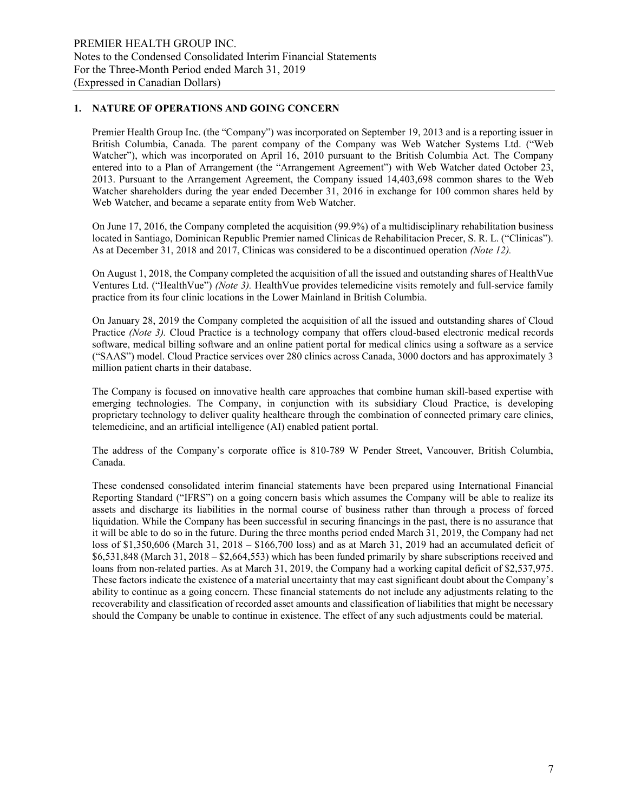## 1. NATURE OF OPERATIONS AND GOING CONCERN

Premier Health Group Inc. (the "Company") was incorporated on September 19, 2013 and is a reporting issuer in British Columbia, Canada. The parent company of the Company was Web Watcher Systems Ltd. ("Web Watcher"), which was incorporated on April 16, 2010 pursuant to the British Columbia Act. The Company entered into to a Plan of Arrangement (the "Arrangement Agreement") with Web Watcher dated October 23, 2013. Pursuant to the Arrangement Agreement, the Company issued 14,403,698 common shares to the Web Watcher shareholders during the year ended December 31, 2016 in exchange for 100 common shares held by Web Watcher, and became a separate entity from Web Watcher.

On June 17, 2016, the Company completed the acquisition (99.9%) of a multidisciplinary rehabilitation business located in Santiago, Dominican Republic Premier named Clinicas de Rehabilitacion Precer, S. R. L. ("Clinicas"). As at December 31, 2018 and 2017, Clinicas was considered to be a discontinued operation (Note 12).

On August 1, 2018, the Company completed the acquisition of all the issued and outstanding shares of HealthVue Ventures Ltd. ("HealthVue") (Note 3). HealthVue provides telemedicine visits remotely and full-service family practice from its four clinic locations in the Lower Mainland in British Columbia.

On January 28, 2019 the Company completed the acquisition of all the issued and outstanding shares of Cloud Practice (Note 3). Cloud Practice is a technology company that offers cloud-based electronic medical records software, medical billing software and an online patient portal for medical clinics using a software as a service ("SAAS") model. Cloud Practice services over 280 clinics across Canada, 3000 doctors and has approximately 3 million patient charts in their database.

The Company is focused on innovative health care approaches that combine human skill-based expertise with emerging technologies. The Company, in conjunction with its subsidiary Cloud Practice, is developing proprietary technology to deliver quality healthcare through the combination of connected primary care clinics, telemedicine, and an artificial intelligence (AI) enabled patient portal.

The address of the Company's corporate office is 810-789 W Pender Street, Vancouver, British Columbia, Canada.

These condensed consolidated interim financial statements have been prepared using International Financial Reporting Standard ("IFRS") on a going concern basis which assumes the Company will be able to realize its assets and discharge its liabilities in the normal course of business rather than through a process of forced liquidation. While the Company has been successful in securing financings in the past, there is no assurance that it will be able to do so in the future. During the three months period ended March 31, 2019, the Company had net loss of \$1,350,606 (March 31, 2018 – \$166,700 loss) and as at March 31, 2019 had an accumulated deficit of \$6,531,848 (March 31, 2018 – \$2,664,553) which has been funded primarily by share subscriptions received and loans from non-related parties. As at March 31, 2019, the Company had a working capital deficit of \$2,537,975. These factors indicate the existence of a material uncertainty that may cast significant doubt about the Company's ability to continue as a going concern. These financial statements do not include any adjustments relating to the recoverability and classification of recorded asset amounts and classification of liabilities that might be necessary should the Company be unable to continue in existence. The effect of any such adjustments could be material.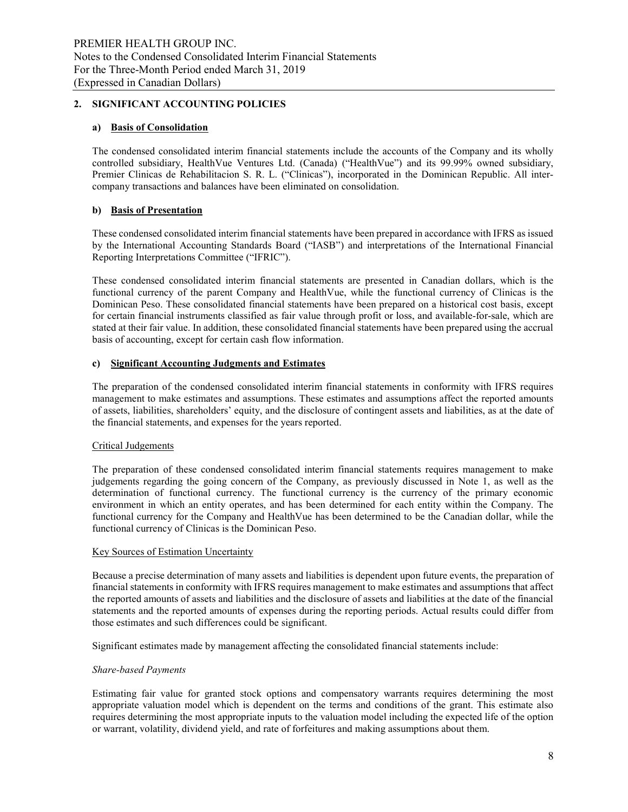## 2. SIGNIFICANT ACCOUNTING POLICIES

## a) Basis of Consolidation

The condensed consolidated interim financial statements include the accounts of the Company and its wholly controlled subsidiary, HealthVue Ventures Ltd. (Canada) ("HealthVue") and its 99.99% owned subsidiary, Premier Clinicas de Rehabilitacion S. R. L. ("Clinicas"), incorporated in the Dominican Republic. All intercompany transactions and balances have been eliminated on consolidation.

## b) Basis of Presentation

These condensed consolidated interim financial statements have been prepared in accordance with IFRS as issued by the International Accounting Standards Board ("IASB") and interpretations of the International Financial Reporting Interpretations Committee ("IFRIC").

These condensed consolidated interim financial statements are presented in Canadian dollars, which is the functional currency of the parent Company and HealthVue, while the functional currency of Clinicas is the Dominican Peso. These consolidated financial statements have been prepared on a historical cost basis, except for certain financial instruments classified as fair value through profit or loss, and available-for-sale, which are stated at their fair value. In addition, these consolidated financial statements have been prepared using the accrual basis of accounting, except for certain cash flow information.

## c) Significant Accounting Judgments and Estimates

The preparation of the condensed consolidated interim financial statements in conformity with IFRS requires management to make estimates and assumptions. These estimates and assumptions affect the reported amounts of assets, liabilities, shareholders' equity, and the disclosure of contingent assets and liabilities, as at the date of the financial statements, and expenses for the years reported.

## Critical Judgements

The preparation of these condensed consolidated interim financial statements requires management to make judgements regarding the going concern of the Company, as previously discussed in Note 1, as well as the determination of functional currency. The functional currency is the currency of the primary economic environment in which an entity operates, and has been determined for each entity within the Company. The functional currency for the Company and HealthVue has been determined to be the Canadian dollar, while the functional currency of Clinicas is the Dominican Peso.

## Key Sources of Estimation Uncertainty

Because a precise determination of many assets and liabilities is dependent upon future events, the preparation of financial statements in conformity with IFRS requires management to make estimates and assumptions that affect the reported amounts of assets and liabilities and the disclosure of assets and liabilities at the date of the financial statements and the reported amounts of expenses during the reporting periods. Actual results could differ from those estimates and such differences could be significant.

Significant estimates made by management affecting the consolidated financial statements include:

#### Share-based Payments

Estimating fair value for granted stock options and compensatory warrants requires determining the most appropriate valuation model which is dependent on the terms and conditions of the grant. This estimate also requires determining the most appropriate inputs to the valuation model including the expected life of the option or warrant, volatility, dividend yield, and rate of forfeitures and making assumptions about them.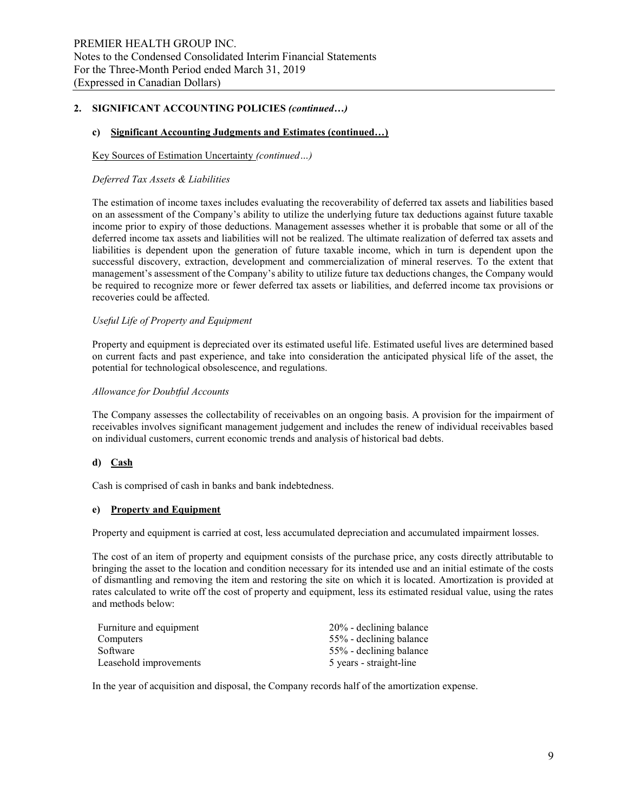#### c) Significant Accounting Judgments and Estimates (continued…)

#### Key Sources of Estimation Uncertainty (continued…)

#### Deferred Tax Assets & Liabilities

The estimation of income taxes includes evaluating the recoverability of deferred tax assets and liabilities based on an assessment of the Company's ability to utilize the underlying future tax deductions against future taxable income prior to expiry of those deductions. Management assesses whether it is probable that some or all of the deferred income tax assets and liabilities will not be realized. The ultimate realization of deferred tax assets and liabilities is dependent upon the generation of future taxable income, which in turn is dependent upon the successful discovery, extraction, development and commercialization of mineral reserves. To the extent that management's assessment of the Company's ability to utilize future tax deductions changes, the Company would be required to recognize more or fewer deferred tax assets or liabilities, and deferred income tax provisions or recoveries could be affected.

## Useful Life of Property and Equipment

Property and equipment is depreciated over its estimated useful life. Estimated useful lives are determined based on current facts and past experience, and take into consideration the anticipated physical life of the asset, the potential for technological obsolescence, and regulations.

#### Allowance for Doubtful Accounts

The Company assesses the collectability of receivables on an ongoing basis. A provision for the impairment of receivables involves significant management judgement and includes the renew of individual receivables based on individual customers, current economic trends and analysis of historical bad debts.

## d) Cash

Cash is comprised of cash in banks and bank indebtedness.

#### e) Property and Equipment

Property and equipment is carried at cost, less accumulated depreciation and accumulated impairment losses.

The cost of an item of property and equipment consists of the purchase price, any costs directly attributable to bringing the asset to the location and condition necessary for its intended use and an initial estimate of the costs of dismantling and removing the item and restoring the site on which it is located. Amortization is provided at rates calculated to write off the cost of property and equipment, less its estimated residual value, using the rates and methods below:

| Furniture and equipment | 20% - declining balance |
|-------------------------|-------------------------|
| Computers               | 55% - declining balance |
| Software                | 55% - declining balance |
| Leasehold improvements  | 5 years - straight-line |

In the year of acquisition and disposal, the Company records half of the amortization expense.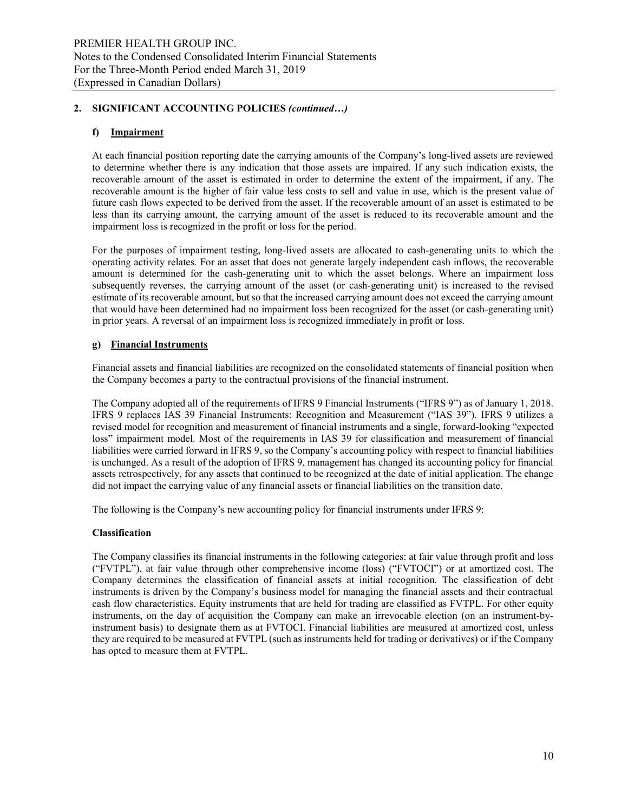## f) Impairment

At each financial position reporting date the carrying amounts of the Company's long-lived assets are reviewed to determine whether there is any indication that those assets are impaired. If any such indication exists, the recoverable amount of the asset is estimated in order to determine the extent of the impairment, if any. The recoverable amount is the higher of fair value less costs to sell and value in use, which is the present value of future cash flows expected to be derived from the asset. If the recoverable amount of an asset is estimated to be less than its carrying amount, the carrying amount of the asset is reduced to its recoverable amount and the impairment loss is recognized in the profit or loss for the period.

For the purposes of impairment testing, long-lived assets are allocated to cash-generating units to which the operating activity relates. For an asset that does not generate largely independent cash inflows, the recoverable amount is determined for the cash-generating unit to which the asset belongs. Where an impairment loss subsequently reverses, the carrying amount of the asset (or cash-generating unit) is increased to the revised estimate of its recoverable amount, but so that the increased carrying amount does not exceed the carrying amount that would have been determined had no impairment loss been recognized for the asset (or cash-generating unit) in prior years. A reversal of an impairment loss is recognized immediately in profit or loss.

## g) Financial Instruments

Financial assets and financial liabilities are recognized on the consolidated statements of financial position when the Company becomes a party to the contractual provisions of the financial instrument.

The Company adopted all of the requirements of IFRS 9 Financial Instruments ("IFRS 9") as of January 1, 2018. IFRS 9 replaces IAS 39 Financial Instruments: Recognition and Measurement ("IAS 39"). IFRS 9 utilizes a revised model for recognition and measurement of financial instruments and a single, forward-looking "expected loss" impairment model. Most of the requirements in IAS 39 for classification and measurement of financial liabilities were carried forward in IFRS 9, so the Company's accounting policy with respect to financial liabilities is unchanged. As a result of the adoption of IFRS 9, management has changed its accounting policy for financial assets retrospectively, for any assets that continued to be recognized at the date of initial application. The change did not impact the carrying value of any financial assets or financial liabilities on the transition date.

The following is the Company's new accounting policy for financial instruments under IFRS 9:

## Classification

The Company classifies its financial instruments in the following categories: at fair value through profit and loss ("FVTPL"), at fair value through other comprehensive income (loss) ("FVTOCI") or at amortized cost. The Company determines the classification of financial assets at initial recognition. The classification of debt instruments is driven by the Company's business model for managing the financial assets and their contractual cash flow characteristics. Equity instruments that are held for trading are classified as FVTPL. For other equity instruments, on the day of acquisition the Company can make an irrevocable election (on an instrument-byinstrument basis) to designate them as at FVTOCI. Financial liabilities are measured at amortized cost, unless they are required to be measured at FVTPL (such as instruments held for trading or derivatives) or if the Company has opted to measure them at FVTPL.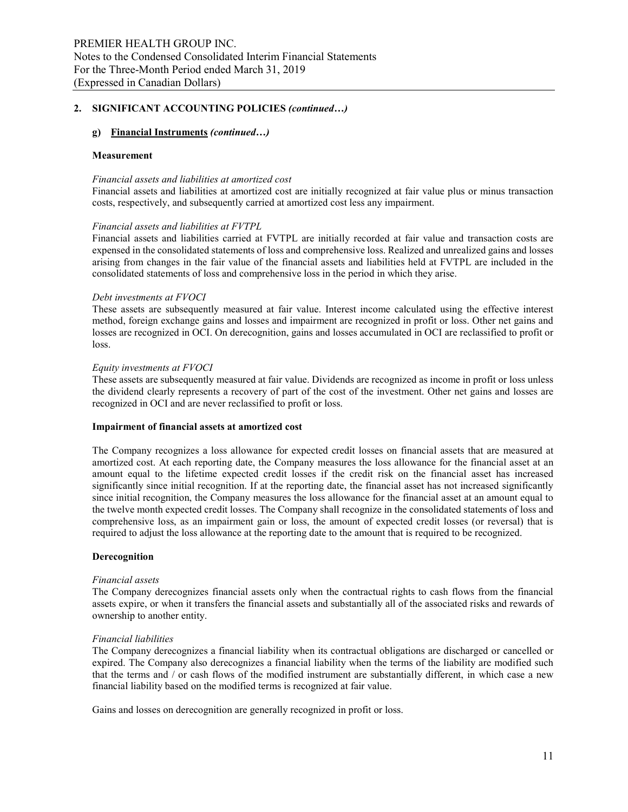#### g) Financial Instruments (continued…)

#### Measurement

#### Financial assets and liabilities at amortized cost

Financial assets and liabilities at amortized cost are initially recognized at fair value plus or minus transaction costs, respectively, and subsequently carried at amortized cost less any impairment.

#### Financial assets and liabilities at FVTPL

Financial assets and liabilities carried at FVTPL are initially recorded at fair value and transaction costs are expensed in the consolidated statements of loss and comprehensive loss. Realized and unrealized gains and losses arising from changes in the fair value of the financial assets and liabilities held at FVTPL are included in the consolidated statements of loss and comprehensive loss in the period in which they arise.

#### Debt investments at FVOCI

These assets are subsequently measured at fair value. Interest income calculated using the effective interest method, foreign exchange gains and losses and impairment are recognized in profit or loss. Other net gains and losses are recognized in OCI. On derecognition, gains and losses accumulated in OCI are reclassified to profit or loss.

#### Equity investments at FVOCI

These assets are subsequently measured at fair value. Dividends are recognized as income in profit or loss unless the dividend clearly represents a recovery of part of the cost of the investment. Other net gains and losses are recognized in OCI and are never reclassified to profit or loss.

#### Impairment of financial assets at amortized cost

The Company recognizes a loss allowance for expected credit losses on financial assets that are measured at amortized cost. At each reporting date, the Company measures the loss allowance for the financial asset at an amount equal to the lifetime expected credit losses if the credit risk on the financial asset has increased significantly since initial recognition. If at the reporting date, the financial asset has not increased significantly since initial recognition, the Company measures the loss allowance for the financial asset at an amount equal to the twelve month expected credit losses. The Company shall recognize in the consolidated statements of loss and comprehensive loss, as an impairment gain or loss, the amount of expected credit losses (or reversal) that is required to adjust the loss allowance at the reporting date to the amount that is required to be recognized.

#### Derecognition

#### Financial assets

The Company derecognizes financial assets only when the contractual rights to cash flows from the financial assets expire, or when it transfers the financial assets and substantially all of the associated risks and rewards of ownership to another entity.

#### Financial liabilities

The Company derecognizes a financial liability when its contractual obligations are discharged or cancelled or expired. The Company also derecognizes a financial liability when the terms of the liability are modified such that the terms and / or cash flows of the modified instrument are substantially different, in which case a new financial liability based on the modified terms is recognized at fair value.

Gains and losses on derecognition are generally recognized in profit or loss.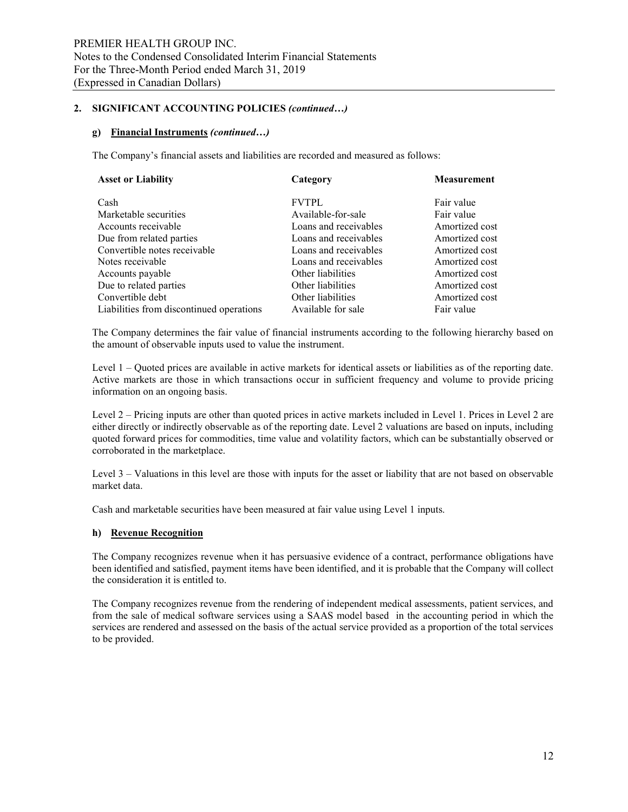#### g) Financial Instruments (continued…)

The Company's financial assets and liabilities are recorded and measured as follows:

| Category              | <b>Measurement</b> |  |  |  |  |
|-----------------------|--------------------|--|--|--|--|
| <b>FVTPL</b>          | Fair value         |  |  |  |  |
| Available-for-sale    | Fair value         |  |  |  |  |
| Loans and receivables | Amortized cost     |  |  |  |  |
| Loans and receivables | Amortized cost     |  |  |  |  |
| Loans and receivables | Amortized cost     |  |  |  |  |
| Loans and receivables | Amortized cost     |  |  |  |  |
| Other liabilities     | Amortized cost     |  |  |  |  |
| Other liabilities     | Amortized cost     |  |  |  |  |
| Other liabilities     | Amortized cost     |  |  |  |  |
| Available for sale    | Fair value         |  |  |  |  |
|                       |                    |  |  |  |  |

The Company determines the fair value of financial instruments according to the following hierarchy based on the amount of observable inputs used to value the instrument.

Level 1 – Quoted prices are available in active markets for identical assets or liabilities as of the reporting date. Active markets are those in which transactions occur in sufficient frequency and volume to provide pricing information on an ongoing basis.

Level 2 – Pricing inputs are other than quoted prices in active markets included in Level 1. Prices in Level 2 are either directly or indirectly observable as of the reporting date. Level 2 valuations are based on inputs, including quoted forward prices for commodities, time value and volatility factors, which can be substantially observed or corroborated in the marketplace.

Level 3 – Valuations in this level are those with inputs for the asset or liability that are not based on observable market data.

Cash and marketable securities have been measured at fair value using Level 1 inputs.

## h) Revenue Recognition

The Company recognizes revenue when it has persuasive evidence of a contract, performance obligations have been identified and satisfied, payment items have been identified, and it is probable that the Company will collect the consideration it is entitled to.

The Company recognizes revenue from the rendering of independent medical assessments, patient services, and from the sale of medical software services using a SAAS model based in the accounting period in which the services are rendered and assessed on the basis of the actual service provided as a proportion of the total services to be provided.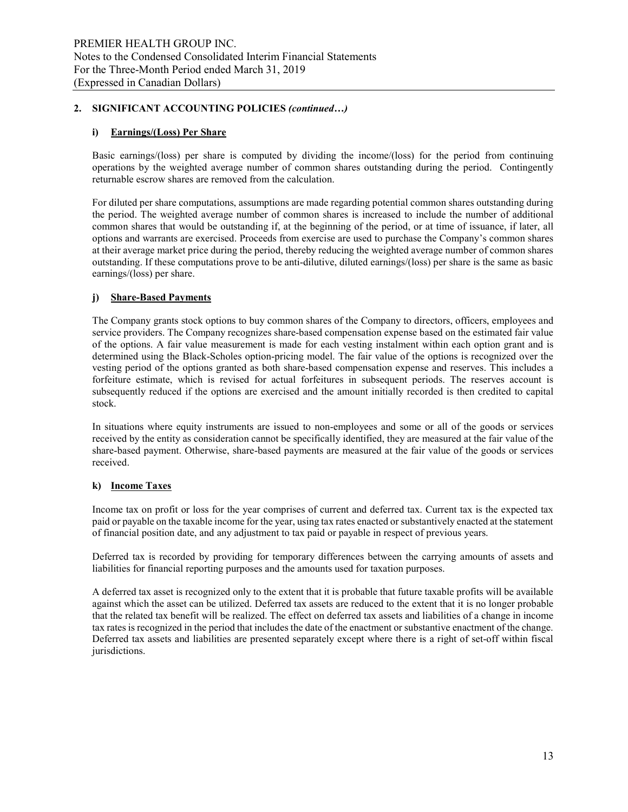## i) Earnings/(Loss) Per Share

Basic earnings/(loss) per share is computed by dividing the income/(loss) for the period from continuing operations by the weighted average number of common shares outstanding during the period. Contingently returnable escrow shares are removed from the calculation.

For diluted per share computations, assumptions are made regarding potential common shares outstanding during the period. The weighted average number of common shares is increased to include the number of additional common shares that would be outstanding if, at the beginning of the period, or at time of issuance, if later, all options and warrants are exercised. Proceeds from exercise are used to purchase the Company's common shares at their average market price during the period, thereby reducing the weighted average number of common shares outstanding. If these computations prove to be anti-dilutive, diluted earnings/(loss) per share is the same as basic earnings/(loss) per share.

## j) Share-Based Payments

The Company grants stock options to buy common shares of the Company to directors, officers, employees and service providers. The Company recognizes share-based compensation expense based on the estimated fair value of the options. A fair value measurement is made for each vesting instalment within each option grant and is determined using the Black-Scholes option-pricing model. The fair value of the options is recognized over the vesting period of the options granted as both share-based compensation expense and reserves. This includes a forfeiture estimate, which is revised for actual forfeitures in subsequent periods. The reserves account is subsequently reduced if the options are exercised and the amount initially recorded is then credited to capital stock.

In situations where equity instruments are issued to non-employees and some or all of the goods or services received by the entity as consideration cannot be specifically identified, they are measured at the fair value of the share-based payment. Otherwise, share-based payments are measured at the fair value of the goods or services received.

## k) Income Taxes

Income tax on profit or loss for the year comprises of current and deferred tax. Current tax is the expected tax paid or payable on the taxable income for the year, using tax rates enacted or substantively enacted at the statement of financial position date, and any adjustment to tax paid or payable in respect of previous years.

Deferred tax is recorded by providing for temporary differences between the carrying amounts of assets and liabilities for financial reporting purposes and the amounts used for taxation purposes.

A deferred tax asset is recognized only to the extent that it is probable that future taxable profits will be available against which the asset can be utilized. Deferred tax assets are reduced to the extent that it is no longer probable that the related tax benefit will be realized. The effect on deferred tax assets and liabilities of a change in income tax rates is recognized in the period that includes the date of the enactment or substantive enactment of the change. Deferred tax assets and liabilities are presented separately except where there is a right of set-off within fiscal jurisdictions.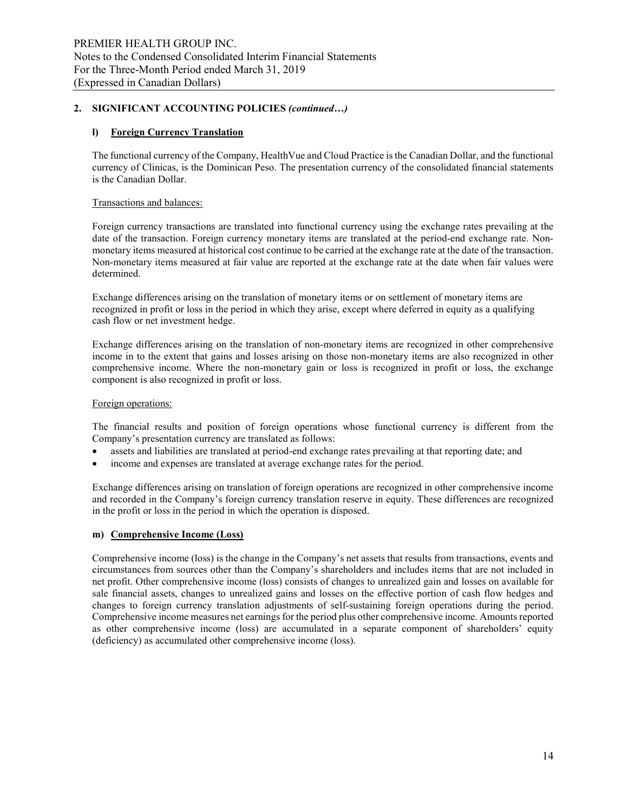## l) Foreign Currency Translation

The functional currency of the Company, HealthVue and Cloud Practice is the Canadian Dollar, and the functional currency of Clinicas, is the Dominican Peso. The presentation currency of the consolidated financial statements is the Canadian Dollar.

## Transactions and balances:

Foreign currency transactions are translated into functional currency using the exchange rates prevailing at the date of the transaction. Foreign currency monetary items are translated at the period-end exchange rate. Nonmonetary items measured at historical cost continue to be carried at the exchange rate at the date of the transaction. Non-monetary items measured at fair value are reported at the exchange rate at the date when fair values were determined.

Exchange differences arising on the translation of monetary items or on settlement of monetary items are recognized in profit or loss in the period in which they arise, except where deferred in equity as a qualifying cash flow or net investment hedge.

Exchange differences arising on the translation of non-monetary items are recognized in other comprehensive income in to the extent that gains and losses arising on those non-monetary items are also recognized in other comprehensive income. Where the non-monetary gain or loss is recognized in profit or loss, the exchange component is also recognized in profit or loss.

## Foreign operations:

The financial results and position of foreign operations whose functional currency is different from the Company's presentation currency are translated as follows:

- assets and liabilities are translated at period-end exchange rates prevailing at that reporting date; and
- income and expenses are translated at average exchange rates for the period.

Exchange differences arising on translation of foreign operations are recognized in other comprehensive income and recorded in the Company's foreign currency translation reserve in equity. These differences are recognized in the profit or loss in the period in which the operation is disposed.

## m) Comprehensive Income (Loss)

Comprehensive income (loss) is the change in the Company's net assets that results from transactions, events and circumstances from sources other than the Company's shareholders and includes items that are not included in net profit. Other comprehensive income (loss) consists of changes to unrealized gain and losses on available for sale financial assets, changes to unrealized gains and losses on the effective portion of cash flow hedges and changes to foreign currency translation adjustments of self-sustaining foreign operations during the period. Comprehensive income measures net earnings for the period plus other comprehensive income. Amounts reported as other comprehensive income (loss) are accumulated in a separate component of shareholders' equity (deficiency) as accumulated other comprehensive income (loss).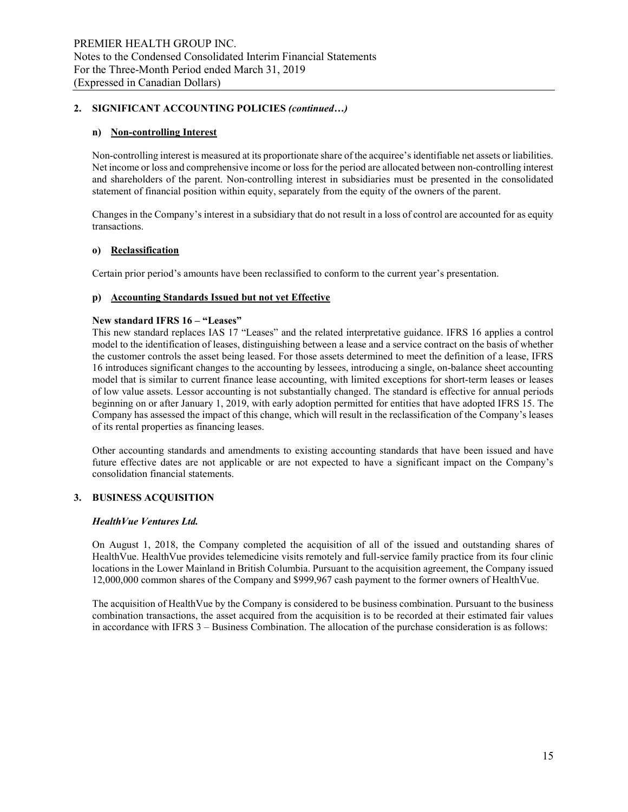## n) Non-controlling Interest

Non-controlling interest is measured at its proportionate share of the acquiree's identifiable net assets or liabilities. Net income or loss and comprehensive income or loss for the period are allocated between non-controlling interest and shareholders of the parent. Non-controlling interest in subsidiaries must be presented in the consolidated statement of financial position within equity, separately from the equity of the owners of the parent.

Changes in the Company's interest in a subsidiary that do not result in a loss of control are accounted for as equity transactions.

## o) Reclassification

Certain prior period's amounts have been reclassified to conform to the current year's presentation.

## p) Accounting Standards Issued but not yet Effective

## New standard IFRS 16 – "Leases"

This new standard replaces IAS 17 "Leases" and the related interpretative guidance. IFRS 16 applies a control model to the identification of leases, distinguishing between a lease and a service contract on the basis of whether the customer controls the asset being leased. For those assets determined to meet the definition of a lease, IFRS 16 introduces significant changes to the accounting by lessees, introducing a single, on-balance sheet accounting model that is similar to current finance lease accounting, with limited exceptions for short-term leases or leases of low value assets. Lessor accounting is not substantially changed. The standard is effective for annual periods beginning on or after January 1, 2019, with early adoption permitted for entities that have adopted IFRS 15. The Company has assessed the impact of this change, which will result in the reclassification of the Company's leases of its rental properties as financing leases.

Other accounting standards and amendments to existing accounting standards that have been issued and have future effective dates are not applicable or are not expected to have a significant impact on the Company's consolidation financial statements.

## 3. BUSINESS ACQUISITION

## HealthVue Ventures Ltd.

On August 1, 2018, the Company completed the acquisition of all of the issued and outstanding shares of HealthVue. HealthVue provides telemedicine visits remotely and full-service family practice from its four clinic locations in the Lower Mainland in British Columbia. Pursuant to the acquisition agreement, the Company issued 12,000,000 common shares of the Company and \$999,967 cash payment to the former owners of HealthVue.

The acquisition of HealthVue by the Company is considered to be business combination. Pursuant to the business combination transactions, the asset acquired from the acquisition is to be recorded at their estimated fair values in accordance with IFRS 3 – Business Combination. The allocation of the purchase consideration is as follows: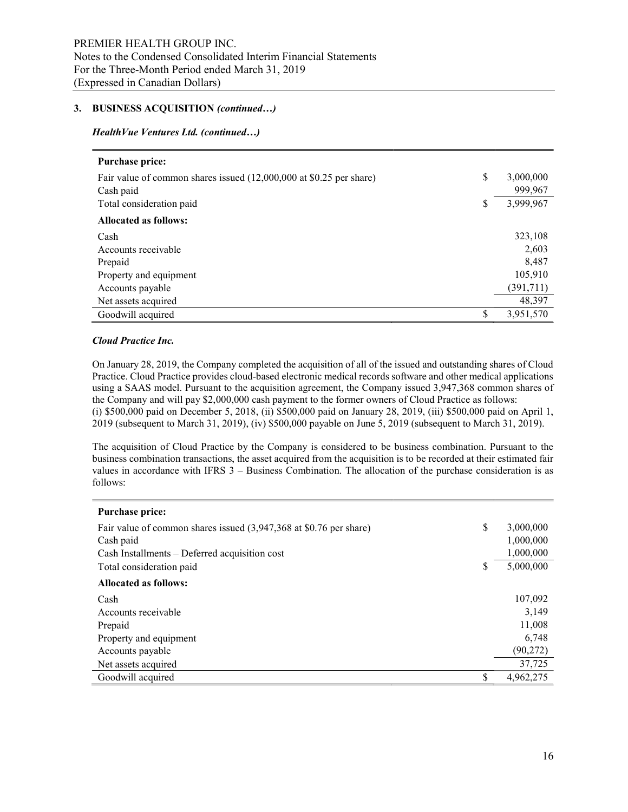## 3. BUSINESS ACQUISITION (continued…)

#### HealthVue Ventures Ltd. (continued…)

| <b>Purchase price:</b>                                              |                 |
|---------------------------------------------------------------------|-----------------|
| Fair value of common shares issued (12,000,000 at \$0.25 per share) | \$<br>3,000,000 |
| Cash paid                                                           | 999,967         |
| Total consideration paid                                            | \$<br>3,999,967 |
| <b>Allocated as follows:</b>                                        |                 |
| Cash                                                                | 323,108         |
| Accounts receivable                                                 | 2,603           |
| Prepaid                                                             | 8.487           |
| Property and equipment                                              | 105,910         |
| Accounts payable                                                    | (391,711)       |
| Net assets acquired                                                 | 48,397          |
| Goodwill acquired                                                   | \$<br>3,951,570 |

#### Cloud Practice Inc.

On January 28, 2019, the Company completed the acquisition of all of the issued and outstanding shares of Cloud Practice. Cloud Practice provides cloud-based electronic medical records software and other medical applications using a SAAS model. Pursuant to the acquisition agreement, the Company issued 3,947,368 common shares of the Company and will pay \$2,000,000 cash payment to the former owners of Cloud Practice as follows: (i) \$500,000 paid on December 5, 2018, (ii) \$500,000 paid on January 28, 2019, (iii) \$500,000 paid on April 1, 2019 (subsequent to March 31, 2019), (iv) \$500,000 payable on June 5, 2019 (subsequent to March 31, 2019).

The acquisition of Cloud Practice by the Company is considered to be business combination. Pursuant to the business combination transactions, the asset acquired from the acquisition is to be recorded at their estimated fair values in accordance with IFRS 3 – Business Combination. The allocation of the purchase consideration is as follows:

| <b>Purchase price:</b>                                             |    |           |
|--------------------------------------------------------------------|----|-----------|
| Fair value of common shares issued (3,947,368 at \$0.76 per share) | \$ | 3,000,000 |
| Cash paid                                                          |    | 1,000,000 |
| Cash Installments – Deferred acquisition cost                      |    | 1,000,000 |
| Total consideration paid                                           | \$ | 5,000,000 |
| <b>Allocated as follows:</b>                                       |    |           |
| Cash                                                               |    | 107,092   |
| Accounts receivable                                                |    | 3.149     |
| Prepaid                                                            |    | 11,008    |
| Property and equipment                                             |    | 6,748     |
| Accounts payable                                                   |    | (90, 272) |
| Net assets acquired                                                |    | 37,725    |
| Goodwill acquired                                                  | S  | 4,962,275 |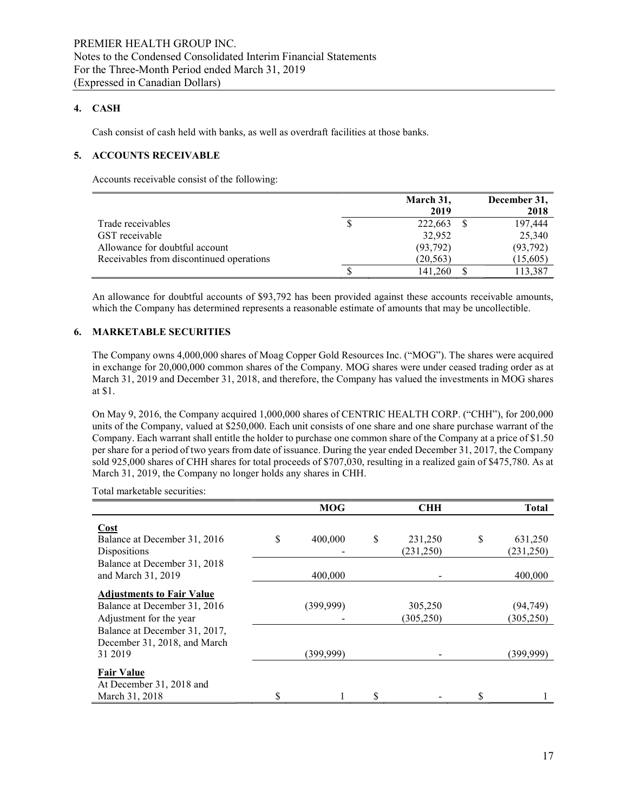## 4. CASH

Cash consist of cash held with banks, as well as overdraft facilities at those banks.

## 5. ACCOUNTS RECEIVABLE

Accounts receivable consist of the following:

|                                          | March 31, | December 31, |
|------------------------------------------|-----------|--------------|
|                                          | 2019      | 2018         |
| Trade receivables                        | 222,663   | 197,444      |
| GST receivable                           | 32,952    | 25,340       |
| Allowance for doubtful account           | (93,792)  | (93, 792)    |
| Receivables from discontinued operations | (20, 563) | (15,605)     |
|                                          | 141,260   | 113,387      |

An allowance for doubtful accounts of \$93,792 has been provided against these accounts receivable amounts, which the Company has determined represents a reasonable estimate of amounts that may be uncollectible.

## 6. MARKETABLE SECURITIES

The Company owns 4,000,000 shares of Moag Copper Gold Resources Inc. ("MOG"). The shares were acquired in exchange for 20,000,000 common shares of the Company. MOG shares were under ceased trading order as at March 31, 2019 and December 31, 2018, and therefore, the Company has valued the investments in MOG shares at \$1.

On May 9, 2016, the Company acquired 1,000,000 shares of CENTRIC HEALTH CORP. ("CHH"), for 200,000 units of the Company, valued at \$250,000. Each unit consists of one share and one share purchase warrant of the Company. Each warrant shall entitle the holder to purchase one common share of the Company at a price of \$1.50 per share for a period of two years from date of issuance. During the year ended December 31, 2017, the Company sold 925,000 shares of CHH shares for total proceeds of \$707,030, resulting in a realized gain of \$475,780. As at March 31, 2019, the Company no longer holds any shares in CHH.

Total marketable securities:

|                                  | <b>MOG</b> | <b>CHH</b>    |   | <b>Total</b> |
|----------------------------------|------------|---------------|---|--------------|
| Cost                             |            |               |   |              |
| Balance at December 31, 2016     | 400,000    | \$<br>231,250 | S | 631,250      |
| Dispositions                     |            | (231,250)     |   | (231,250)    |
| Balance at December 31, 2018     |            |               |   |              |
| and March 31, 2019               | 400,000    |               |   | 400,000      |
| <b>Adjustments to Fair Value</b> |            |               |   |              |
| Balance at December 31, 2016     | (399, 999) | 305,250       |   | (94, 749)    |
| Adjustment for the year          |            | (305, 250)    |   | (305, 250)   |
| Balance at December 31, 2017,    |            |               |   |              |
| December 31, 2018, and March     |            |               |   |              |
| 31 2019                          | (399, 999) |               |   | (399,999)    |
| <b>Fair Value</b>                |            |               |   |              |
| At December 31, 2018 and         |            |               |   |              |
| March 31, 2018                   |            |               |   |              |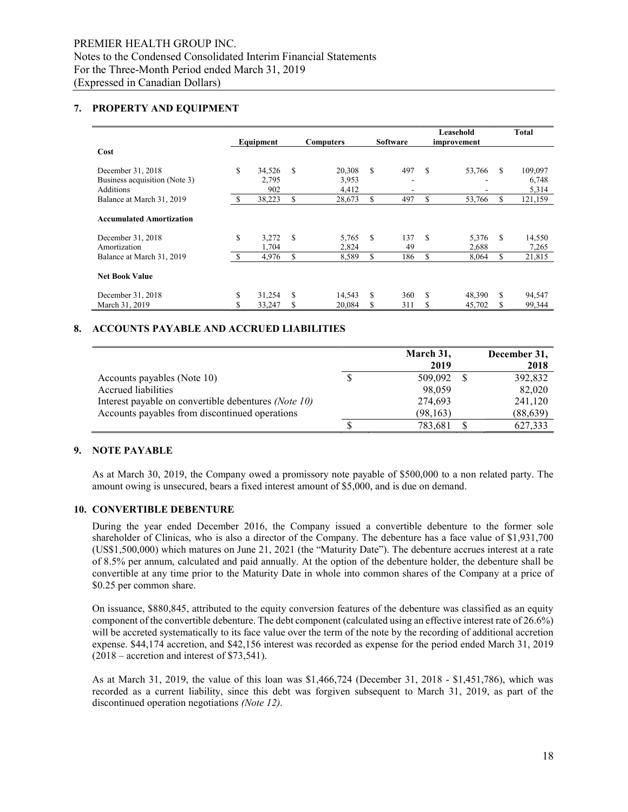## 7. PROPERTY AND EQUIPMENT

|                                                      | Equipment |        | <b>Computers</b> | <b>Software</b> |    | Leasehold<br>improvement |     |        | <b>Total</b> |         |
|------------------------------------------------------|-----------|--------|------------------|-----------------|----|--------------------------|-----|--------|--------------|---------|
| Cost                                                 |           |        |                  |                 |    |                          |     |        |              |         |
| December 31, 2018                                    | \$        | 34,526 | S                | 20,308          | S  | 497                      | \$  | 53,766 | S            | 109,097 |
| Business acquisition (Note 3)                        |           | 2.795  |                  | 3,953           |    |                          |     |        |              | 6,748   |
| <b>Additions</b>                                     |           | 902    |                  | 4,412           |    | ۰                        |     |        |              | 5,314   |
| Balance at March 31, 2019                            | -S        | 38,223 | \$               | 28,673          | \$ | 497                      | \$  | 53,766 | \$           | 121,159 |
| <b>Accumulated Amortization</b><br>December 31, 2018 | \$        | 3,272  | S                | 5,765           | S  | 137                      | \$. | 5,376  | S            | 14,550  |
| Amortization                                         |           | 1,704  |                  | 2,824           |    | 49                       |     | 2,688  |              | 7,265   |
| Balance at March 31, 2019                            |           | 4,976  | \$               | 8,589           | \$ | 186                      | \$  | 8,064  | \$           | 21,815  |
| <b>Net Book Value</b>                                |           |        |                  |                 |    |                          |     |        |              |         |
| December 31, 2018                                    | \$        | 31,254 | \$               | 14.543          | S  | 360                      | \$  | 48,390 | \$           | 94,547  |
| March 31, 2019                                       |           | 33,247 | \$               | 20,084          | ъ  | 311                      | \$  | 45,702 | S            | 99,344  |

#### 8. ACCOUNTS PAYABLE AND ACCRUED LIABILITIES

|                                                      | March 31, | December 31, |
|------------------------------------------------------|-----------|--------------|
|                                                      | 2019      | 2018         |
| Accounts payables (Note 10)                          | 509,092   | 392,832      |
| Accrued liabilities                                  | 98,059    | 82,020       |
| Interest payable on convertible debentures (Note 10) | 274,693   | 241,120      |
| Accounts payables from discontinued operations       | (98, 163) | (88, 639)    |
|                                                      | 783,681   | 627,333      |

## 9. NOTE PAYABLE

As at March 30, 2019, the Company owed a promissory note payable of \$500,000 to a non related party. The amount owing is unsecured, bears a fixed interest amount of \$5,000, and is due on demand.

#### 10. CONVERTIBLE DEBENTURE

During the year ended December 2016, the Company issued a convertible debenture to the former sole shareholder of Clinicas, who is also a director of the Company. The debenture has a face value of \$1,931,700 (US\$1,500,000) which matures on June 21, 2021 (the "Maturity Date"). The debenture accrues interest at a rate of 8.5% per annum, calculated and paid annually. At the option of the debenture holder, the debenture shall be convertible at any time prior to the Maturity Date in whole into common shares of the Company at a price of \$0.25 per common share.

On issuance, \$880,845, attributed to the equity conversion features of the debenture was classified as an equity component of the convertible debenture. The debt component (calculated using an effective interest rate of 26.6%) will be accreted systematically to its face value over the term of the note by the recording of additional accretion expense. \$44,174 accretion, and \$42,156 interest was recorded as expense for the period ended March 31, 2019 (2018 – accretion and interest of \$73,541).

As at March 31, 2019, the value of this loan was \$1,466,724 (December 31, 2018 - \$1,451,786), which was recorded as a current liability, since this debt was forgiven subsequent to March 31, 2019, as part of the discontinued operation negotiations (Note 12).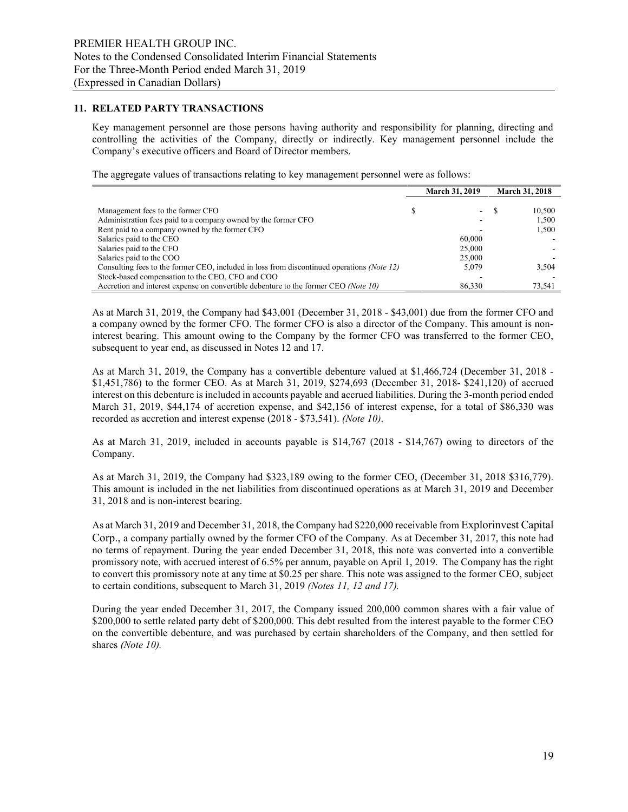#### 11. RELATED PARTY TRANSACTIONS

Key management personnel are those persons having authority and responsibility for planning, directing and controlling the activities of the Company, directly or indirectly. Key management personnel include the Company's executive officers and Board of Director members.

The aggregate values of transactions relating to key management personnel were as follows:

|                                                                                            | <b>March 31, 2019</b> |        | <b>March 31, 2018</b> |        |
|--------------------------------------------------------------------------------------------|-----------------------|--------|-----------------------|--------|
|                                                                                            |                       |        |                       |        |
| Management fees to the former CFO                                                          |                       | $\sim$ | -S                    | 10.500 |
| Administration fees paid to a company owned by the former CFO                              |                       |        |                       | 1.500  |
| Rent paid to a company owned by the former CFO                                             |                       |        |                       | 1.500  |
| Salaries paid to the CEO                                                                   |                       | 60,000 |                       |        |
| Salaries paid to the CFO                                                                   |                       | 25,000 |                       |        |
| Salaries paid to the COO                                                                   |                       | 25,000 |                       |        |
| Consulting fees to the former CEO, included in loss from discontinued operations (Note 12) |                       | 5.079  |                       | 3.504  |
| Stock-based compensation to the CEO, CFO and COO                                           |                       |        |                       |        |
| Accretion and interest expense on convertible debenture to the former CEO (Note 10)        |                       | 86,330 |                       | 73,541 |

As at March 31, 2019, the Company had \$43,001 (December 31, 2018 - \$43,001) due from the former CFO and a company owned by the former CFO. The former CFO is also a director of the Company. This amount is noninterest bearing. This amount owing to the Company by the former CFO was transferred to the former CEO, subsequent to year end, as discussed in Notes 12 and 17.

As at March 31, 2019, the Company has a convertible debenture valued at \$1,466,724 (December 31, 2018 - \$1,451,786) to the former CEO. As at March 31, 2019, \$274,693 (December 31, 2018- \$241,120) of accrued interest on this debenture is included in accounts payable and accrued liabilities. During the 3-month period ended March 31, 2019, \$44,174 of accretion expense, and \$42,156 of interest expense, for a total of \$86,330 was recorded as accretion and interest expense (2018 - \$73,541). (Note 10).

As at March 31, 2019, included in accounts payable is \$14,767 (2018 - \$14,767) owing to directors of the Company.

As at March 31, 2019, the Company had \$323,189 owing to the former CEO, (December 31, 2018 \$316,779). This amount is included in the net liabilities from discontinued operations as at March 31, 2019 and December 31, 2018 and is non-interest bearing.

As at March 31, 2019 and December 31, 2018, the Company had \$220,000 receivable from Explorinvest Capital Corp., a company partially owned by the former CFO of the Company. As at December 31, 2017, this note had no terms of repayment. During the year ended December 31, 2018, this note was converted into a convertible promissory note, with accrued interest of 6.5% per annum, payable on April 1, 2019. The Company has the right to convert this promissory note at any time at \$0.25 per share. This note was assigned to the former CEO, subject to certain conditions, subsequent to March 31, 2019 (Notes 11, 12 and 17).

During the year ended December 31, 2017, the Company issued 200,000 common shares with a fair value of \$200,000 to settle related party debt of \$200,000. This debt resulted from the interest payable to the former CEO on the convertible debenture, and was purchased by certain shareholders of the Company, and then settled for shares (Note 10).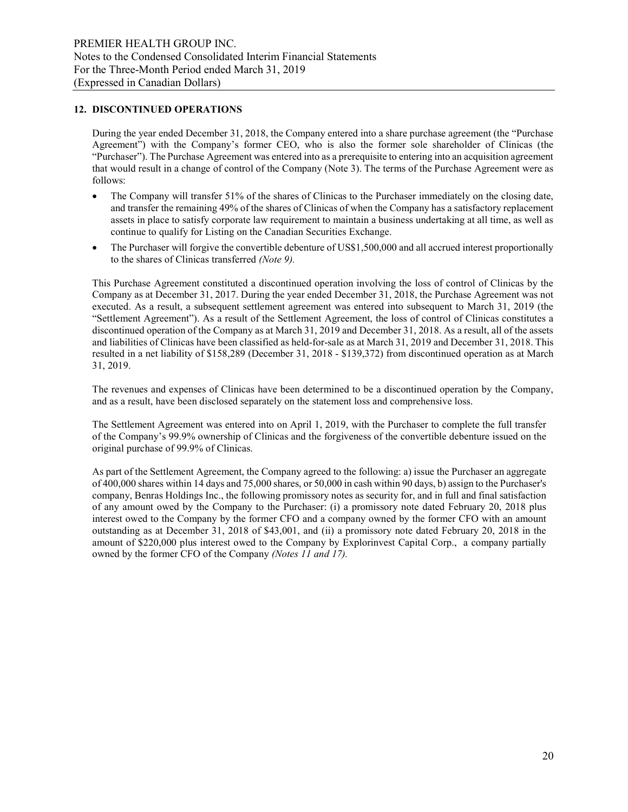## 12. DISCONTINUED OPERATIONS

During the year ended December 31, 2018, the Company entered into a share purchase agreement (the "Purchase Agreement") with the Company's former CEO, who is also the former sole shareholder of Clinicas (the "Purchaser"). The Purchase Agreement was entered into as a prerequisite to entering into an acquisition agreement that would result in a change of control of the Company (Note 3). The terms of the Purchase Agreement were as follows:

- The Company will transfer 51% of the shares of Clinicas to the Purchaser immediately on the closing date, and transfer the remaining 49% of the shares of Clinicas of when the Company has a satisfactory replacement assets in place to satisfy corporate law requirement to maintain a business undertaking at all time, as well as continue to qualify for Listing on the Canadian Securities Exchange.
- The Purchaser will forgive the convertible debenture of US\$1,500,000 and all accrued interest proportionally to the shares of Clinicas transferred (Note 9).

This Purchase Agreement constituted a discontinued operation involving the loss of control of Clinicas by the Company as at December 31, 2017. During the year ended December 31, 2018, the Purchase Agreement was not executed. As a result, a subsequent settlement agreement was entered into subsequent to March 31, 2019 (the "Settlement Agreement"). As a result of the Settlement Agreement, the loss of control of Clinicas constitutes a discontinued operation of the Company as at March 31, 2019 and December 31, 2018. As a result, all of the assets and liabilities of Clinicas have been classified as held-for-sale as at March 31, 2019 and December 31, 2018. This resulted in a net liability of \$158,289 (December 31, 2018 - \$139,372) from discontinued operation as at March 31, 2019.

The revenues and expenses of Clinicas have been determined to be a discontinued operation by the Company, and as a result, have been disclosed separately on the statement loss and comprehensive loss.

The Settlement Agreement was entered into on April 1, 2019, with the Purchaser to complete the full transfer of the Company's 99.9% ownership of Clinicas and the forgiveness of the convertible debenture issued on the original purchase of 99.9% of Clinicas.

As part of the Settlement Agreement, the Company agreed to the following: a) issue the Purchaser an aggregate of 400,000 shares within 14 days and 75,000 shares, or 50,000 in cash within 90 days, b) assign to the Purchaser's company, Benras Holdings Inc., the following promissory notes as security for, and in full and final satisfaction of any amount owed by the Company to the Purchaser: (i) a promissory note dated February 20, 2018 plus interest owed to the Company by the former CFO and a company owned by the former CFO with an amount outstanding as at December 31, 2018 of \$43,001, and (ii) a promissory note dated February 20, 2018 in the amount of \$220,000 plus interest owed to the Company by Explorinvest Capital Corp., a company partially owned by the former CFO of the Company (Notes 11 and 17).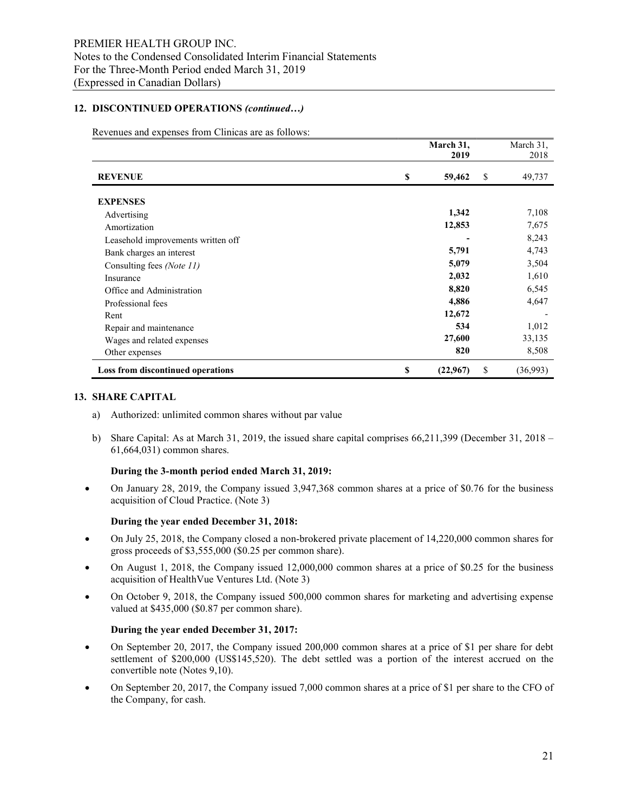## 12. DISCONTINUED OPERATIONS (continued…)

Revenues and expenses from Clinicas are as follows:

|                                    | March 31,<br>2019 | March 31,<br>2018 |
|------------------------------------|-------------------|-------------------|
|                                    |                   |                   |
| <b>REVENUE</b>                     | \$<br>59,462      | \$<br>49,737      |
| <b>EXPENSES</b>                    |                   |                   |
|                                    | 1,342             | 7,108             |
| Advertising                        |                   |                   |
| Amortization                       | 12,853            | 7,675             |
| Leasehold improvements written off |                   | 8,243             |
| Bank charges an interest           | 5,791             | 4,743             |
| Consulting fees (Note 11)          | 5,079             | 3,504             |
| Insurance                          | 2,032             | 1,610             |
| Office and Administration          | 8,820             | 6,545             |
| Professional fees                  | 4,886             | 4,647             |
| Rent                               | 12,672            |                   |
| Repair and maintenance             | 534               | 1,012             |
| Wages and related expenses         | 27,600            | 33,135            |
| Other expenses                     | 820               | 8,508             |
| Loss from discontinued operations  | \$<br>(22,967)    | \$<br>(36,993)    |

#### 13. SHARE CAPITAL

- a) Authorized: unlimited common shares without par value
- b) Share Capital: As at March 31, 2019, the issued share capital comprises 66,211,399 (December 31, 2018 61,664,031) common shares.

## During the 3-month period ended March 31, 2019:

 On January 28, 2019, the Company issued 3,947,368 common shares at a price of \$0.76 for the business acquisition of Cloud Practice. (Note 3)

#### During the year ended December 31, 2018:

- On July 25, 2018, the Company closed a non-brokered private placement of 14,220,000 common shares for gross proceeds of \$3,555,000 (\$0.25 per common share).
- On August 1, 2018, the Company issued 12,000,000 common shares at a price of \$0.25 for the business acquisition of HealthVue Ventures Ltd. (Note 3)
- On October 9, 2018, the Company issued 500,000 common shares for marketing and advertising expense valued at \$435,000 (\$0.87 per common share).

#### During the year ended December 31, 2017:

- On September 20, 2017, the Company issued 200,000 common shares at a price of \$1 per share for debt settlement of \$200,000 (US\$145,520). The debt settled was a portion of the interest accrued on the convertible note (Notes 9,10).
- On September 20, 2017, the Company issued 7,000 common shares at a price of \$1 per share to the CFO of the Company, for cash.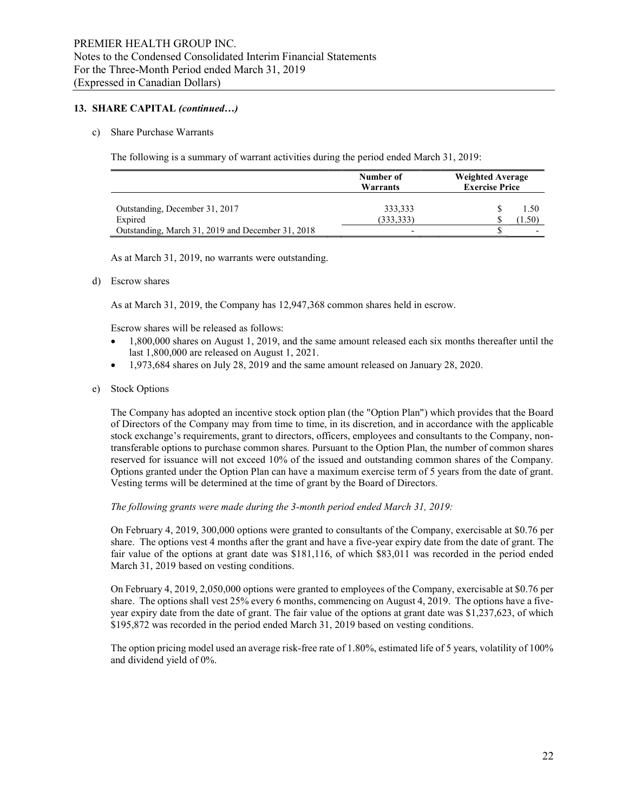## 13. SHARE CAPITAL (continued…)

#### c) Share Purchase Warrants

The following is a summary of warrant activities during the period ended March 31, 2019:

|                                                   | Number of<br>Warrants | <b>Weighted Average</b><br><b>Exercise Price</b> |
|---------------------------------------------------|-----------------------|--------------------------------------------------|
| Outstanding, December 31, 2017<br>Expired         | 333,333<br>(333, 333) | 1.50<br>$1.50^{\circ}$                           |
| Outstanding, March 31, 2019 and December 31, 2018 |                       |                                                  |

As at March 31, 2019, no warrants were outstanding.

#### d) Escrow shares

As at March 31, 2019, the Company has 12,947,368 common shares held in escrow.

Escrow shares will be released as follows:

- 1,800,000 shares on August 1, 2019, and the same amount released each six months thereafter until the last 1,800,000 are released on August 1, 2021.
- 1,973,684 shares on July 28, 2019 and the same amount released on January 28, 2020.

#### e) Stock Options

The Company has adopted an incentive stock option plan (the "Option Plan") which provides that the Board of Directors of the Company may from time to time, in its discretion, and in accordance with the applicable stock exchange's requirements, grant to directors, officers, employees and consultants to the Company, nontransferable options to purchase common shares. Pursuant to the Option Plan, the number of common shares reserved for issuance will not exceed 10% of the issued and outstanding common shares of the Company. Options granted under the Option Plan can have a maximum exercise term of 5 years from the date of grant. Vesting terms will be determined at the time of grant by the Board of Directors.

#### The following grants were made during the 3-month period ended March 31, 2019:

On February 4, 2019, 300,000 options were granted to consultants of the Company, exercisable at \$0.76 per share. The options vest 4 months after the grant and have a five-year expiry date from the date of grant. The fair value of the options at grant date was \$181,116, of which \$83,011 was recorded in the period ended March 31, 2019 based on vesting conditions.

On February 4, 2019, 2,050,000 options were granted to employees of the Company, exercisable at \$0.76 per share. The options shall vest 25% every 6 months, commencing on August 4, 2019. The options have a fiveyear expiry date from the date of grant. The fair value of the options at grant date was \$1,237,623, of which \$195,872 was recorded in the period ended March 31, 2019 based on vesting conditions.

The option pricing model used an average risk-free rate of 1.80%, estimated life of 5 years, volatility of 100% and dividend yield of 0%.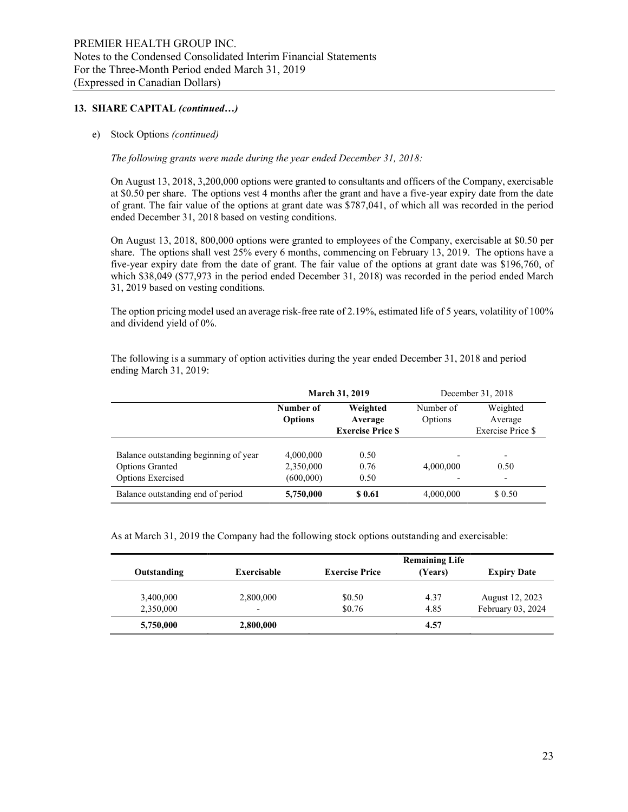#### 13. SHARE CAPITAL (continued…)

#### e) Stock Options (continued)

The following grants were made during the year ended December 31, 2018:

On August 13, 2018, 3,200,000 options were granted to consultants and officers of the Company, exercisable at \$0.50 per share. The options vest 4 months after the grant and have a five-year expiry date from the date of grant. The fair value of the options at grant date was \$787,041, of which all was recorded in the period ended December 31, 2018 based on vesting conditions.

On August 13, 2018, 800,000 options were granted to employees of the Company, exercisable at \$0.50 per share. The options shall vest 25% every 6 months, commencing on February 13, 2019. The options have a five-year expiry date from the date of grant. The fair value of the options at grant date was \$196,760, of which \$38,049 (\$77,973 in the period ended December 31, 2018) was recorded in the period ended March 31, 2019 based on vesting conditions.

The option pricing model used an average risk-free rate of 2.19%, estimated life of 5 years, volatility of 100% and dividend yield of 0%.

|                                       | <b>March 31, 2019</b>       |                                                 | December 31, 2018    |                                                 |  |
|---------------------------------------|-----------------------------|-------------------------------------------------|----------------------|-------------------------------------------------|--|
|                                       | Number of<br><b>Options</b> | Weighted<br>Average<br><b>Exercise Price \$</b> | Number of<br>Options | Weighted<br>Average<br><b>Exercise Price \$</b> |  |
| Balance outstanding beginning of year | 4,000,000                   | 0.50                                            |                      | $\overline{\phantom{0}}$                        |  |
| <b>Options Granted</b>                | 2,350,000                   | 0.76                                            | 4,000,000            | 0.50                                            |  |
| <b>Options Exercised</b>              | (600,000)                   | 0.50                                            |                      | ٠                                               |  |
| Balance outstanding end of period     | 5,750,000                   | \$ 0.61                                         | 4,000,000            | \$0.50                                          |  |

The following is a summary of option activities during the year ended December 31, 2018 and period ending March 31, 2019:

As at March 31, 2019 the Company had the following stock options outstanding and exercisable:

|             |             |                       | <b>Remaining Life</b> |                    |
|-------------|-------------|-----------------------|-----------------------|--------------------|
| Outstanding | Exercisable | <b>Exercise Price</b> | (Years)               | <b>Expiry Date</b> |
|             |             |                       |                       |                    |
| 3,400,000   | 2,800,000   | \$0.50                | 4.37                  | August 12, 2023    |
| 2,350,000   | -           | \$0.76                | 4.85                  | February 03, 2024  |
| 5,750,000   | 2,800,000   |                       | 4.57                  |                    |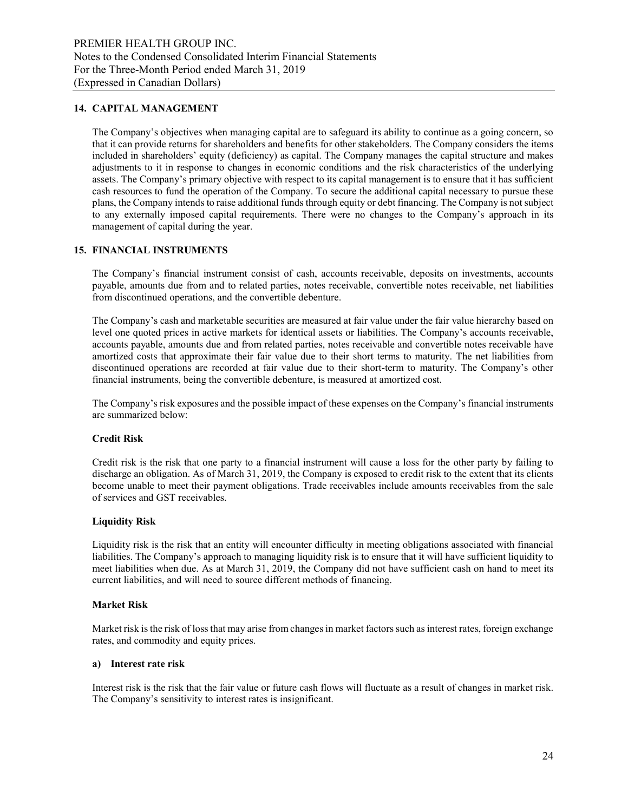#### 14. CAPITAL MANAGEMENT

The Company's objectives when managing capital are to safeguard its ability to continue as a going concern, so that it can provide returns for shareholders and benefits for other stakeholders. The Company considers the items included in shareholders' equity (deficiency) as capital. The Company manages the capital structure and makes adjustments to it in response to changes in economic conditions and the risk characteristics of the underlying assets. The Company's primary objective with respect to its capital management is to ensure that it has sufficient cash resources to fund the operation of the Company. To secure the additional capital necessary to pursue these plans, the Company intends to raise additional funds through equity or debt financing. The Company is not subject to any externally imposed capital requirements. There were no changes to the Company's approach in its management of capital during the year.

#### 15. FINANCIAL INSTRUMENTS

The Company's financial instrument consist of cash, accounts receivable, deposits on investments, accounts payable, amounts due from and to related parties, notes receivable, convertible notes receivable, net liabilities from discontinued operations, and the convertible debenture.

The Company's cash and marketable securities are measured at fair value under the fair value hierarchy based on level one quoted prices in active markets for identical assets or liabilities. The Company's accounts receivable, accounts payable, amounts due and from related parties, notes receivable and convertible notes receivable have amortized costs that approximate their fair value due to their short terms to maturity. The net liabilities from discontinued operations are recorded at fair value due to their short-term to maturity. The Company's other financial instruments, being the convertible debenture, is measured at amortized cost.

The Company's risk exposures and the possible impact of these expenses on the Company's financial instruments are summarized below:

#### Credit Risk

Credit risk is the risk that one party to a financial instrument will cause a loss for the other party by failing to discharge an obligation. As of March 31, 2019, the Company is exposed to credit risk to the extent that its clients become unable to meet their payment obligations. Trade receivables include amounts receivables from the sale of services and GST receivables.

#### Liquidity Risk

Liquidity risk is the risk that an entity will encounter difficulty in meeting obligations associated with financial liabilities. The Company's approach to managing liquidity risk is to ensure that it will have sufficient liquidity to meet liabilities when due. As at March 31, 2019, the Company did not have sufficient cash on hand to meet its current liabilities, and will need to source different methods of financing.

#### Market Risk

Market risk is the risk of loss that may arise from changes in market factors such as interest rates, foreign exchange rates, and commodity and equity prices.

#### a) Interest rate risk

Interest risk is the risk that the fair value or future cash flows will fluctuate as a result of changes in market risk. The Company's sensitivity to interest rates is insignificant.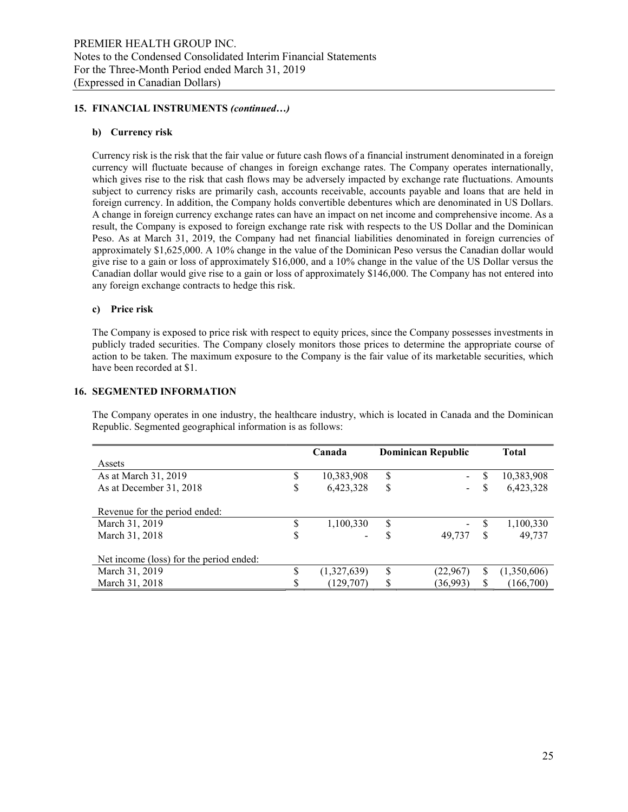## 15. FINANCIAL INSTRUMENTS (continued…)

#### b) Currency risk

Currency risk is the risk that the fair value or future cash flows of a financial instrument denominated in a foreign currency will fluctuate because of changes in foreign exchange rates. The Company operates internationally, which gives rise to the risk that cash flows may be adversely impacted by exchange rate fluctuations. Amounts subject to currency risks are primarily cash, accounts receivable, accounts payable and loans that are held in foreign currency. In addition, the Company holds convertible debentures which are denominated in US Dollars. A change in foreign currency exchange rates can have an impact on net income and comprehensive income. As a result, the Company is exposed to foreign exchange rate risk with respects to the US Dollar and the Dominican Peso. As at March 31, 2019, the Company had net financial liabilities denominated in foreign currencies of approximately \$1,625,000. A 10% change in the value of the Dominican Peso versus the Canadian dollar would give rise to a gain or loss of approximately \$16,000, and a 10% change in the value of the US Dollar versus the Canadian dollar would give rise to a gain or loss of approximately \$146,000. The Company has not entered into any foreign exchange contracts to hedge this risk.

#### c) Price risk

The Company is exposed to price risk with respect to equity prices, since the Company possesses investments in publicly traded securities. The Company closely monitors those prices to determine the appropriate course of action to be taken. The maximum exposure to the Company is the fair value of its marketable securities, which have been recorded at \$1.

## 16. SEGMENTED INFORMATION

The Company operates in one industry, the healthcare industry, which is located in Canada and the Dominican Republic. Segmented geographical information is as follows:

|                                         | Canada |             | <b>Dominican Republic</b> |          |    | <b>Total</b> |
|-----------------------------------------|--------|-------------|---------------------------|----------|----|--------------|
| Assets                                  |        |             |                           |          |    |              |
| As at March 31, 2019                    | S      | 10,383,908  | \$                        |          | S  | 10,383,908   |
| As at December 31, 2018                 | S      | 6,423,328   | \$                        |          |    | 6,423,328    |
|                                         |        |             |                           |          |    |              |
| Revenue for the period ended:           |        |             |                           |          |    |              |
| March 31, 2019                          | S      | 1,100,330   | \$                        |          | S  | 1,100,330    |
| March 31, 2018                          | S      |             |                           | 49.737   | \$ | 49,737       |
|                                         |        |             |                           |          |    |              |
| Net income (loss) for the period ended: |        |             |                           |          |    |              |
| March 31, 2019                          | \$.    | (1,327,639) | \$                        | (22,967) | S  | (1,350,606)  |
| March 31, 2018                          |        | (129,707)   | S                         | (36,993) | \$ | (166,700)    |